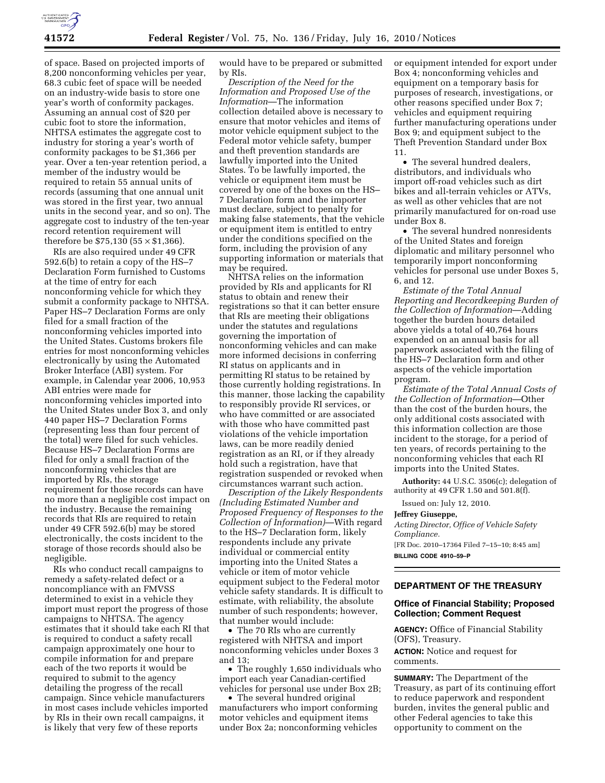

of space. Based on projected imports of 8,200 nonconforming vehicles per year, 68.3 cubic feet of space will be needed on an industry-wide basis to store one year's worth of conformity packages. Assuming an annual cost of \$20 per cubic foot to store the information, NHTSA estimates the aggregate cost to industry for storing a year's worth of conformity packages to be \$1,366 per year. Over a ten-year retention period, a member of the industry would be required to retain 55 annual units of records (assuming that one annual unit was stored in the first year, two annual units in the second year, and so on). The aggregate cost to industry of the ten-year record retention requirement will therefore be  $$75,130$  ( $55 \times $1,366$ ).

RIs are also required under 49 CFR 592.6(b) to retain a copy of the HS–7 Declaration Form furnished to Customs at the time of entry for each nonconforming vehicle for which they submit a conformity package to NHTSA. Paper HS–7 Declaration Forms are only filed for a small fraction of the nonconforming vehicles imported into the United States. Customs brokers file entries for most nonconforming vehicles electronically by using the Automated Broker Interface (ABI) system. For example, in Calendar year 2006, 10,953 ABI entries were made for nonconforming vehicles imported into the United States under Box 3, and only 440 paper HS–7 Declaration Forms (representing less than four percent of the total) were filed for such vehicles. Because HS–7 Declaration Forms are filed for only a small fraction of the nonconforming vehicles that are imported by RIs, the storage requirement for those records can have no more than a negligible cost impact on the industry. Because the remaining records that RIs are required to retain under 49 CFR 592.6(b) may be stored electronically, the costs incident to the storage of those records should also be negligible.

RIs who conduct recall campaigns to remedy a safety-related defect or a noncompliance with an FMVSS determined to exist in a vehicle they import must report the progress of those campaigns to NHTSA. The agency estimates that it should take each RI that is required to conduct a safety recall campaign approximately one hour to compile information for and prepare each of the two reports it would be required to submit to the agency detailing the progress of the recall campaign. Since vehicle manufacturers in most cases include vehicles imported by RIs in their own recall campaigns, it is likely that very few of these reports

would have to be prepared or submitted by RIs.

*Description of the Need for the Information and Proposed Use of the Information*—The information collection detailed above is necessary to ensure that motor vehicles and items of motor vehicle equipment subject to the Federal motor vehicle safety, bumper and theft prevention standards are lawfully imported into the United States. To be lawfully imported, the vehicle or equipment item must be covered by one of the boxes on the HS– 7 Declaration form and the importer must declare, subject to penalty for making false statements, that the vehicle or equipment item is entitled to entry under the conditions specified on the form, including the provision of any supporting information or materials that may be required.

NHTSA relies on the information provided by RIs and applicants for RI status to obtain and renew their registrations so that it can better ensure that RIs are meeting their obligations under the statutes and regulations governing the importation of nonconforming vehicles and can make more informed decisions in conferring RI status on applicants and in permitting RI status to be retained by those currently holding registrations. In this manner, those lacking the capability to responsibly provide RI services, or who have committed or are associated with those who have committed past violations of the vehicle importation laws, can be more readily denied registration as an RI, or if they already hold such a registration, have that registration suspended or revoked when circumstances warrant such action.

*Description of the Likely Respondents (Including Estimated Number and Proposed Frequency of Responses to the Collection of Information)*—With regard to the HS–7 Declaration form, likely respondents include any private individual or commercial entity importing into the United States a vehicle or item of motor vehicle equipment subject to the Federal motor vehicle safety standards. It is difficult to estimate, with reliability, the absolute number of such respondents; however, that number would include:

• The 70 RIs who are currently registered with NHTSA and import nonconforming vehicles under Boxes 3 and 13;

• The roughly 1,650 individuals who import each year Canadian-certified vehicles for personal use under Box 2B;

• The several hundred original manufacturers who import conforming motor vehicles and equipment items under Box 2a; nonconforming vehicles

or equipment intended for export under Box 4; nonconforming vehicles and equipment on a temporary basis for purposes of research, investigations, or other reasons specified under Box 7; vehicles and equipment requiring further manufacturing operations under Box 9; and equipment subject to the Theft Prevention Standard under Box 11.

• The several hundred dealers, distributors, and individuals who import off-road vehicles such as dirt bikes and all-terrain vehicles or ATVs, as well as other vehicles that are not primarily manufactured for on-road use under Box 8.

• The several hundred nonresidents of the United States and foreign diplomatic and military personnel who temporarily import nonconforming vehicles for personal use under Boxes 5, 6, and 12.

*Estimate of the Total Annual Reporting and Recordkeeping Burden of the Collection of Information*—Adding together the burden hours detailed above yields a total of 40,764 hours expended on an annual basis for all paperwork associated with the filing of the HS–7 Declaration form and other aspects of the vehicle importation program.

*Estimate of the Total Annual Costs of the Collection of Information*—Other than the cost of the burden hours, the only additional costs associated with this information collection are those incident to the storage, for a period of ten years, of records pertaining to the nonconforming vehicles that each RI imports into the United States.

**Authority:** 44 U.S.C. 3506(c); delegation of authority at 49 CFR 1.50 and 501.8(f).

Issued on: July 12, 2010.

#### **Jeffrey Giuseppe,**

*Acting Director, Office of Vehicle Safety Compliance.*  [FR Doc. 2010–17364 Filed 7–15–10; 8:45 am] **BILLING CODE 4910–59–P** 

### **DEPARTMENT OF THE TREASURY**

## **Office of Financial Stability; Proposed Collection; Comment Request**

**AGENCY:** Office of Financial Stability (OFS), Treasury.

**ACTION:** Notice and request for comments.

**SUMMARY:** The Department of the Treasury, as part of its continuing effort to reduce paperwork and respondent burden, invites the general public and other Federal agencies to take this opportunity to comment on the